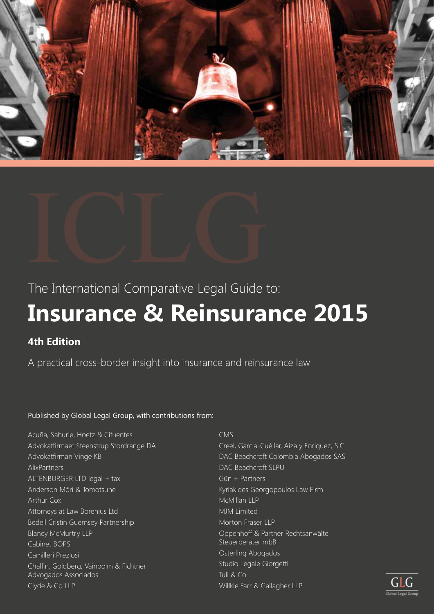



The International Comparative Legal Guide to:

# **Insurance & Reinsurance 2015**

# **4th Edition**

A practical cross-border insight into insurance and reinsurance law

# Published by Global Legal Group, with contributions from:

Acuña, Sahurie, Hoetz & Cifuentes Advokatfirmaet Steenstrup Stordrange DA Advokatfirman Vinge KB AlixPartners ALTENBURGER LTD legal + tax Anderson Mōri & Tomotsune Arthur Cox Attorneys at Law Borenius Ltd Bedell Cristin Guernsey Partnership Blaney McMurtry LLP Cabinet BOPS Camilleri Preziosi Chalfin, Goldberg, Vainboim & Fichtner Advogados Associados Clyde & Co LLP

# CMS

Creel, García-Cuéllar, Aiza y Enríquez, S.C. DAC Beachcroft Colombia Abogados SAS DAC Beachcroft SLPU Gün + Partners Kyriakides Georgopoulos Law Firm McMillan LLP MJM Limited Morton Fraser LLP Oppenhoff & Partner Rechtsanwälte Steuerberater mbB Osterling Abogados Studio Legale Giorgetti Tuli & Co Willkie Farr & Gallagher LLP

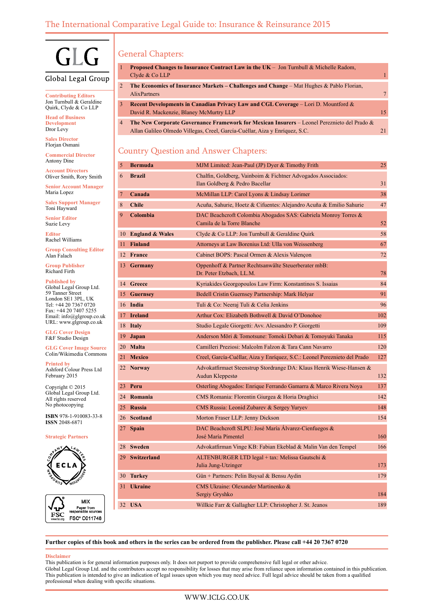

# Global Legal Group

**Contributing Editors** Jon Turnbull & Geraldine Quirk, Clyde & Co LLP

**Head of Business Development** Dror Levy

**Sales Director** Florjan Osmani

**Commercial Director** Antony Dine

**Account Directors** Oliver Smith, Rory Smith

**Senior Account Manager** Maria Lopez

**Sales Support Manager** Toni Hayward

**Senior Editor** Suzie Levy

**Editor** Rachel Williams

**Group Consulting Editor** Alan Falach

**Group Publisher** Richard Firth

**Published by**

Global Legal Group Ltd. 59 Tanner Street London SE1 3PL, UK Tel: +44 20 7367 0720 Fax: +44 20 7407 5255 Email: info@glgroup.co.uk URL: www.glgroup.co.uk

**GLG Cover Design** F&F Studio Design

**GLG Cover Image Source** Colin/Wikimedia Commons

**Printed by** Ashford Colour Press Ltd February 2015

Copyright © 2015 Global Legal Group Ltd. All rights reserved No photocopying

**ISBN** 978-1-910083-33-8 **ISSN** 2048-6871

# **Strategic Partners**





# General Chapters:

| 1.           | <b>Proposed Changes to Insurance Contract Law in the UK</b> – Jon Turnbull & Michelle Radom,<br>Clyde & Co LLP                                                                       |    |
|--------------|--------------------------------------------------------------------------------------------------------------------------------------------------------------------------------------|----|
| $\mathbf{2}$ | <b>The Economics of Insurance Markets – Challenges and Change – Mat Hughes &amp; Pablo Florian,</b><br><b>AlixPartners</b>                                                           |    |
| 3            | Recent Developments in Canadian Privacy Law and CGL Coverage – Lori D. Mountford &<br>David R. Mackenzie, Blaney McMurtry LLP                                                        | 15 |
| 4            | <b>The New Corporate Governance Framework for Mexican Insurers</b> – Leonel Pereznieto del Prado $\&$<br>Allan Galileo Olmedo Villegas, Creel, García-Cuéllar, Aiza y Enríquez, S.C. |    |

# Country Question and Answer Chapters:

| 5  | Bermuda            | MJM Limited: Jean-Paul (JP) Dyer & Timothy Frith                                               | 25  |
|----|--------------------|------------------------------------------------------------------------------------------------|-----|
| 6  | <b>Brazil</b>      | Chalfin, Goldberg, Vainboim & Fichtner Advogados Associados:<br>Ilan Goldberg & Pedro Bacellar | 31  |
| 7  | Canada             | McMillan LLP: Carol Lyons & Lindsay Lorimer                                                    | 38  |
| 8  | <b>Chile</b>       | Acuña, Sahurie, Hoetz & Cifuentes: Alejandro Acuña & Emilio Sahurie                            | 47  |
| 9  | Colombia           | DAC Beachcroft Colombia Abogados SAS: Gabriela Monroy Torres &<br>Camila de la Torre Blanche   | 52  |
|    | 10 England & Wales | Clyde & Co LLP: Jon Turnbull & Geraldine Quirk                                                 | 58  |
| 11 | <b>Finland</b>     | Attorneys at Law Borenius Ltd: Ulla von Weissenberg                                            | 67  |
|    | 12 France          | Cabinet BOPS: Pascal Ormen & Alexis Valençon                                                   | 72  |
| 13 | <b>Germany</b>     | Oppenhoff & Partner Rechtsanwälte Steuerberater mbB:<br>Dr. Peter Etzbach, LL.M.               | 78  |
|    | 14 Greece          | Kyriakides Georgopoulos Law Firm: Konstantinos S. Issaias                                      | 84  |
|    | 15 Guernsey        | Bedell Cristin Guernsey Partnership: Mark Helyar                                               | 91  |
|    | 16 India           | Tuli & Co: Neeraj Tuli & Celia Jenkins                                                         | 96  |
|    | 17 Ireland         | Arthur Cox: Elizabeth Bothwell & David O'Donohoe                                               | 102 |
|    | 18 Italy           | Studio Legale Giorgetti: Avv. Alessandro P. Giorgetti                                          | 109 |
|    | 19 Japan           | Anderson Mōri & Tomotsune: Tomoki Debari & Tomoyuki Tanaka                                     | 115 |
|    | 20 Malta           | Camilleri Preziosi: Malcolm Falzon & Tara Cann Navarro                                         | 120 |
|    | 21 Mexico          | Creel, García-Cuéllar, Aiza y Enríquez, S.C.: Leonel Pereznieto del Prado                      | 127 |
|    | 22 Norway          | Advokatfirmaet Steenstrup Stordrange DA: Klaus Henrik Wiese-Hansen &<br>Audun Kleppestø        | 132 |
| 23 | Peru               | Osterling Abogados: Enrique Ferrando Gamarra & Marco Rivera Noya                               | 137 |
|    | 24 Romania         | CMS Romania: Florentin Giurgea & Horia Draghici                                                | 142 |
|    | 25 Russia          | CMS Russia: Leonid Zubarev & Sergey Yuryev                                                     | 148 |
|    | 26 Scotland        | Morton Fraser LLP: Jenny Dickson                                                               | 154 |
| 27 | <b>Spain</b>       | DAC Beachcroft SLPU: José María Álvarez-Cienfuegos &<br>José María Pimentel                    | 160 |
|    | 28 Sweden          | Advokatfirman Vinge KB: Fabian Ekeblad & Malin Van den Tempel                                  | 166 |
|    | 29 Switzerland     | ALTENBURGER LTD legal + tax: Melissa Gautschi &<br>Julia Jung-Utzinger                         | 173 |
|    | 30 Turkey          | Gün + Partners: Pelin Baysal & Bensu Aydin                                                     | 179 |
| 31 | <b>Ukraine</b>     | CMS Ukraine: Olexander Martinenko &<br>Sergiy Gryshko                                          | 184 |
|    | 32 USA             | Willkie Farr & Gallagher LLP: Christopher J. St. Jeanos                                        | 189 |
|    |                    |                                                                                                |     |

**Further copies of this book and others in the series can be ordered from the publisher. Please call +44 20 7367 0720**

#### **Disclaimer**

This publication is for general information purposes only. It does not purport to provide comprehensive full legal or other advice. Global Legal Group Ltd. and the contributors accept no responsibility for losses that may arise from reliance upon information contained in this publication. This publication is intended to give an indication of legal issues upon which you may need advice. Full legal advice should be taken from a qualified professional when dealing with specific situations.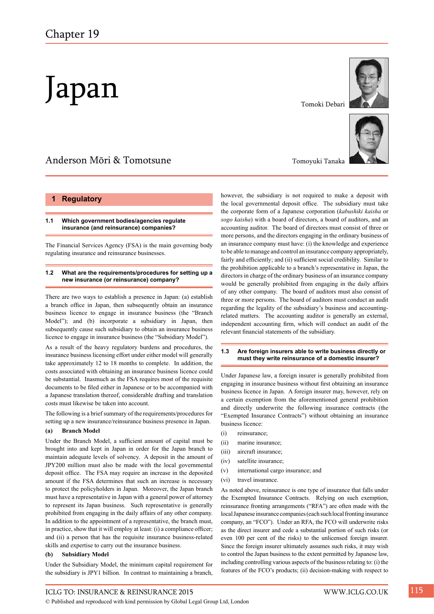# Japan

# Anderson Mōri & Tomotsune

# **1 Regulatory**

# **1.1 Which government bodies/agencies regulate insurance (and reinsurance) companies?**

The Financial Services Agency (FSA) is the main governing body regulating insurance and reinsurance businesses.

# **1.2 What are the requirements/procedures for setting up a new insurance (or reinsurance) company?**

There are two ways to establish a presence in Japan: (a) establish a branch office in Japan, then subsequently obtain an insurance business licence to engage in insurance business (the "Branch Model"); and (b) incorporate a subsidiary in Japan, then subsequently cause such subsidiary to obtain an insurance business licence to engage in insurance business (the "Subsidiary Model").

As a result of the heavy regulatory burdens and procedures, the insurance business licensing effort under either model will generally take approximately 12 to 18 months to complete. In addition, the costs associated with obtaining an insurance business licence could be substantial. Inasmuch as the FSA requires most of the requisite documents to be filed either in Japanese or to be accompanied with a Japanese translation thereof, considerable drafting and translation costs must likewise be taken into account.

The following is a brief summary of the requirements/procedures for setting up a new insurance/reinsurance business presence in Japan.

# **(a) Branch Model**

Under the Branch Model, a sufficient amount of capital must be brought into and kept in Japan in order for the Japan branch to maintain adequate levels of solvency. A deposit in the amount of JPY200 million must also be made with the local governmental deposit office. The FSA may require an increase in the deposited amount if the FSA determines that such an increase is necessary to protect the policyholders in Japan. Moreover, the Japan branch must have a representative in Japan with a general power of attorney to represent its Japan business. Such representative is generally prohibited from engaging in the daily affairs of any other company. In addition to the appointment of a representative, the branch must, in practice, show that it will employ at least: (i) a compliance officer; and (ii) a person that has the requisite insurance business-related skills and expertise to carry out the insurance business.

# **(b) Subsidiary Model**

Under the Subsidiary Model, the minimum capital requirement for the subsidiary is JPY1 billion. In contrast to maintaining a branch,

Tomoki Debari



Tomoyuki Tanaka

however, the subsidiary is not required to make a deposit with the local governmental deposit office. The subsidiary must take the corporate form of a Japanese corporation (*kabushiki kaisha* or *sogo kaisha*) with a board of directors, a board of auditors, and an accounting auditor. The board of directors must consist of three or more persons, and the directors engaging in the ordinary business of an insurance company must have: (i) the knowledge and experience to be able to manage and control an insurance company appropriately, fairly and efficiently; and (ii) sufficient social credibility. Similar to the prohibition applicable to a branch's representative in Japan, the directors in charge of the ordinary business of an insurance company would be generally prohibited from engaging in the daily affairs of any other company. The board of auditors must also consist of three or more persons. The board of auditors must conduct an audit regarding the legality of the subsidiary's business and accountingrelated matters. The accounting auditor is generally an external, independent accounting firm, which will conduct an audit of the relevant financial statements of the subsidiary.

# **1.3 Are foreign insurers able to write business directly or must they write reinsurance of a domestic insurer?**

Under Japanese law, a foreign insurer is generally prohibited from engaging in insurance business without first obtaining an insurance business licence in Japan. A foreign insurer may, however, rely on a certain exemption from the aforementioned general prohibition and directly underwrite the following insurance contracts (the "Exempted Insurance Contracts") without obtaining an insurance business licence:

- (i) reinsurance;
- (ii) marine insurance;
- (iii) aircraft insurance;
- (iv) satellite insurance;
- (v) international cargo insurance; and
- (vi) travel insurance.

As noted above, reinsurance is one type of insurance that falls under the Exempted Insurance Contracts. Relying on such exemption, reinsurance fronting arrangements ("RFA") are often made with the local Japanese insurance companies (each such local fronting insurance company, an "FCO"). Under an RFA, the FCO will underwrite risks as the direct insurer and cede a substantial portion of such risks (or even 100 per cent of the risks) to the unlicensed foreign insurer. Since the foreign insurer ultimately assumes such risks, it may wish to control the Japan business to the extent permitted by Japanese law, including controlling various aspects of the business relating to: (i) the features of the FCO's products; (ii) decision-making with respect to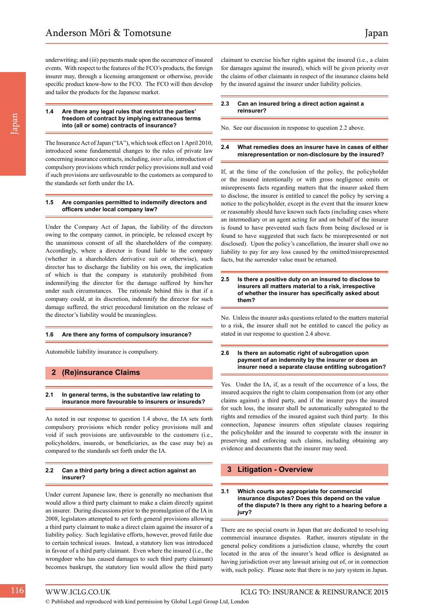underwriting; and (iii) payments made upon the occurrence of insured events. With respect to the features of the FCO's products, the foreign insurer may, through a licensing arrangement or otherwise, provide specific product know-how to the FCO. The FCO will then develop and tailor the products for the Japanese market.

#### **1.4 Are there any legal rules that restrict the parties' freedom of contract by implying extraneous terms into (all or some) contracts of insurance?**

The Insurance Act of Japan ("IA"), which took effect on 1 April 2010, introduced some fundamental changes to the rules of private law concerning insurance contracts, including, *inter alia*, introduction of compulsory provisions which render policy provisions null and void if such provisions are unfavourable to the customers as compared to the standards set forth under the IA.

# **1.5 Are companies permitted to indemnify directors and officers under local company law?**

Under the Company Act of Japan, the liability of the directors owing to the company cannot, in principle, be released except by the unanimous consent of all the shareholders of the company. Accordingly, where a director is found liable to the company (whether in a shareholders derivative suit or otherwise), such director has to discharge the liability on his own, the implication of which is that the company is statutorily prohibited from indemnifying the director for the damage suffered by him/her under such circumstances. The rationale behind this is that if a company could, at its discretion, indemnify the director for such damage suffered, the strict procedural limitation on the release of the director's liability would be meaningless.

# **1.6 Are there any forms of compulsory insurance?**

Automobile liability insurance is compulsory.

# **2 (Re)insurance Claims**

# **2.1 In general terms, is the substantive law relating to insurance more favourable to insurers or insureds?**

As noted in our response to question 1.4 above, the IA sets forth compulsory provisions which render policy provisions null and void if such provisions are unfavourable to the customers (i.e., policyholders, insureds, or beneficiaries, as the case may be) as compared to the standards set forth under the IA.

# **2.2 Can a third party bring a direct action against an insurer?**

Under current Japanese law, there is generally no mechanism that would allow a third party claimant to make a claim directly against an insurer. During discussions prior to the promulgation of the IA in 2008, legislators attempted to set forth general provisions allowing a third party claimant to make a direct claim against the insurer of a liability policy. Such legislative efforts, however, proved futile due to certain technical issues. Instead, a statutory lien was introduced in favour of a third party claimant. Even where the insured (i.e., the wrongdoer who has caused damages to such third party claimant) becomes bankrupt, the statutory lien would allow the third party

claimant to exercise his/her rights against the insured (i.e., a claim for damages against the insured), which will be given priority over the claims of other claimants in respect of the insurance claims held by the insured against the insurer under liability policies.

# **2.3 Can an insured bring a direct action against a reinsurer?**

No. See our discussion in response to question 2.2 above.

# **2.4 What remedies does an insurer have in cases of either misrepresentation or non-disclosure by the insured?**

If, at the time of the conclusion of the policy, the policyholder or the insured intentionally or with gross negligence omits or misrepresents facts regarding matters that the insurer asked them to disclose, the insurer is entitled to cancel the policy by serving a notice to the policyholder, except in the event that the insurer knew or reasonably should have known such facts (including cases where an intermediary or an agent acting for and on behalf of the insurer is found to have prevented such facts from being disclosed or is found to have suggested that such facts be misrepresented or not disclosed). Upon the policy's cancellation, the insurer shall owe no liability to pay for any loss caused by the omitted/misrepresented facts, but the surrender value must be returned.

# **2.5 Is there a positive duty on an insured to disclose to insurers all matters material to a risk, irrespective of whether the insurer has specifically asked about them?**

No. Unless the insurer asks questions related to the matters material to a risk, the insurer shall not be entitled to cancel the policy as stated in our response to question 2.4 above.

# **2.6 Is there an automatic right of subrogation upon payment of an indemnity by the insurer or does an insurer need a separate clause entitling subrogation?**

Yes. Under the IA, if, as a result of the occurrence of a loss, the insured acquires the right to claim compensation from (or any other claims against) a third party, and if the insurer pays the insured for such loss, the insurer shall be automatically subrogated to the rights and remedies of the insured against such third party. In this connection, Japanese insurers often stipulate clauses requiring the policyholder and the insured to cooperate with the insurer in preserving and enforcing such claims, including obtaining any evidence and documents that the insurer may need.

# **3 Litigation - Overview**

# **3.1 Which courts are appropriate for commercial insurance disputes? Does this depend on the value of the dispute? Is there any right to a hearing before a jury?**

There are no special courts in Japan that are dedicated to resolving commercial insurance disputes. Rather, insurers stipulate in the general policy conditions a jurisdiction clause, whereby the court located in the area of the insurer's head office is designated as having jurisdiction over any lawsuit arising out of, or in connection with, such policy. Please note that there is no jury system in Japan.

© Published and reproduced with kind permission by Global Legal Group Ltd, London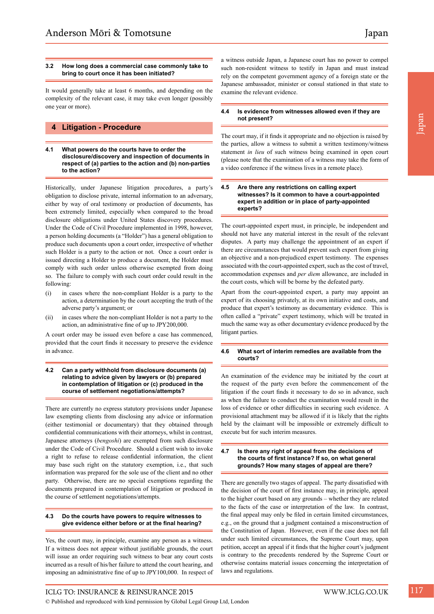# **3.2 How long does a commercial case commonly take to bring to court once it has been initiated?**

It would generally take at least 6 months, and depending on the complexity of the relevant case, it may take even longer (possibly one year or more).

# **4 Litigation - Procedure**

**4.1 What powers do the courts have to order the disclosure/discovery and inspection of documents in respect of (a) parties to the action and (b) non-parties to the action?**

Historically, under Japanese litigation procedures, a party's obligation to disclose private, internal information to an adversary, either by way of oral testimony or production of documents, has been extremely limited, especially when compared to the broad disclosure obligations under United States discovery procedures. Under the Code of Civil Procedure implemented in 1998, however, a person holding documents (a "Holder") has a general obligation to produce such documents upon a court order, irrespective of whether such Holder is a party to the action or not. Once a court order is issued directing a Holder to produce a document, the Holder must comply with such order unless otherwise exempted from doing so. The failure to comply with such court order could result in the following:

- (i) in cases where the non-compliant Holder is a party to the action, a determination by the court accepting the truth of the adverse party's argument; or
- (ii) in cases where the non-compliant Holder is not a party to the action, an administrative fine of up to JPY200,000.

A court order may be issued even before a case has commenced, provided that the court finds it necessary to preserve the evidence in advance.

# **4.2 Can a party withhold from disclosure documents (a) relating to advice given by lawyers or (b) prepared in contemplation of litigation or (c) produced in the course of settlement negotiations/attempts?**

There are currently no express statutory provisions under Japanese law exempting clients from disclosing any advice or information (either testimonial or documentary) that they obtained through confidential communications with their attorneys, whilst in contrast, Japanese attorneys (*bengoshi*) are exempted from such disclosure under the Code of Civil Procedure. Should a client wish to invoke a right to refuse to release confidential information, the client may base such right on the statutory exemption, i.e., that such information was prepared for the sole use of the client and no other party. Otherwise, there are no special exemptions regarding the documents prepared in contemplation of litigation or produced in the course of settlement negotiations/attempts.

# **4.3 Do the courts have powers to require witnesses to give evidence either before or at the final hearing?**

Yes, the court may, in principle, examine any person as a witness. If a witness does not appear without justifiable grounds, the court will issue an order requiring such witness to bear any court costs incurred as a result of his/her failure to attend the court hearing, and imposing an administrative fine of up to JPY100,000. In respect of a witness outside Japan, a Japanese court has no power to compel such non-resident witness to testify in Japan and must instead rely on the competent government agency of a foreign state or the Japanese ambassador, minister or consul stationed in that state to examine the relevant evidence.

# **4.4 Is evidence from witnesses allowed even if they are not present?**

The court may, if it finds it appropriate and no objection is raised by the parties, allow a witness to submit a written testimony/witness statement *in lieu* of such witness being examined in open court (please note that the examination of a witness may take the form of a video conference if the witness lives in a remote place).

### **4.5 Are there any restrictions on calling expert witnesses? Is it common to have a court-appointed expert in addition or in place of party-appointed experts?**

The court-appointed expert must, in principle, be independent and should not have any material interest in the result of the relevant disputes. A party may challenge the appointment of an expert if there are circumstances that would prevent such expert from giving an objective and a non-prejudiced expert testimony. The expenses associated with the court-appointed expert, such as the cost of travel, accommodation expenses and *per diem* allowance, are included in the court costs, which will be borne by the defeated party.

Apart from the court-appointed expert, a party may appoint an expert of its choosing privately, at its own initiative and costs, and produce that expert's testimony as documentary evidence. This is often called a "private" expert testimony, which will be treated in much the same way as other documentary evidence produced by the litigant parties.

# **4.6 What sort of interim remedies are available from the courts?**

An examination of the evidence may be initiated by the court at the request of the party even before the commencement of the litigation if the court finds it necessary to do so in advance, such as when the failure to conduct the examination would result in the loss of evidence or other difficulties in securing such evidence. A provisional attachment may be allowed if it is likely that the rights held by the claimant will be impossible or extremely difficult to execute but for such interim measures.

# **4.7 Is there any right of appeal from the decisions of the courts of first instance? If so, on what general grounds? How many stages of appeal are there?**

There are generally two stages of appeal. The party dissatisfied with the decision of the court of first instance may, in principle, appeal to the higher court based on any grounds – whether they are related to the facts of the case or interpretation of the law. In contrast, the final appeal may only be filed in certain limited circumstances, e.g., on the ground that a judgment contained a misconstruction of the Constitution of Japan. However, even if the case does not fall under such limited circumstances, the Supreme Court may, upon petition, accept an appeal if it finds that the higher court's judgment is contrary to the precedents rendered by the Supreme Court or otherwise contains material issues concerning the interpretation of laws and regulations.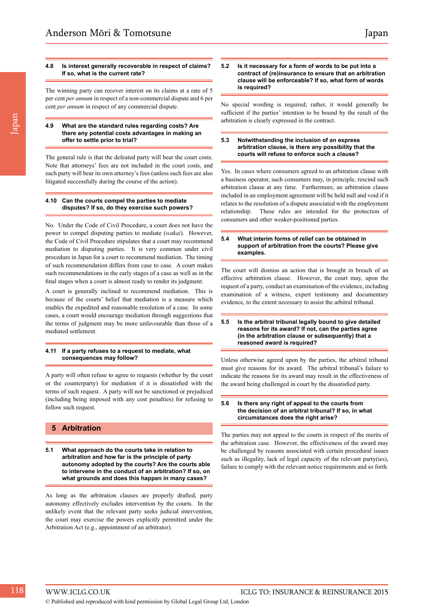The winning party can recover interest on its claims at a rate of 5 per cent *per annum* in respect of a non-commercial dispute and 6 per cent *per annum* in respect of any commercial dispute.

# **4.9 What are the standard rules regarding costs? Are there any potential costs advantages in making an offer to settle prior to trial?**

The general rule is that the defeated party will bear the court costs. Note that attorneys' fees are not included in the court costs, and each party will bear its own attorney's fees (unless such fees are also litigated successfully during the course of the action).

# **4.10 Can the courts compel the parties to mediate disputes? If so, do they exercise such powers?**

No. Under the Code of Civil Procedure, a court does not have the power to compel disputing parties to mediate (*wakai*). However, the Code of Civil Procedure stipulates that a court may recommend mediation to disputing parties. It is very common under civil procedure in Japan for a court to recommend mediation. The timing of such recommendation differs from case to case. A court makes such recommendations in the early stages of a case as well as in the final stages when a court is almost ready to render its judgment.

A court is generally inclined to recommend mediation. This is because of the courts' belief that mediation is a measure which enables the expedited and reasonable resolution of a case. In some cases, a court would encourage mediation through suggestions that the terms of judgment may be more unfavourable than those of a mediated settlement.

# **4.11 If a party refuses to a request to mediate, what consequences may follow?**

A party will often refuse to agree to requests (whether by the court or the counterparty) for mediation if it is dissatisfied with the terms of such request. A party will not be sanctioned or prejudiced (including being imposed with any cost penalties) for refusing to follow such request.

# **5 Arbitration**

**5.1 What approach do the courts take in relation to arbitration and how far is the principle of party autonomy adopted by the courts? Are the courts able to intervene in the conduct of an arbitration? If so, on what grounds and does this happen in many cases?**

As long as the arbitration clauses are properly drafted, party autonomy effectively excludes intervention by the courts. In the unlikely event that the relevant party seeks judicial intervention, the court may exercise the powers explicitly permitted under the Arbitration Act (e.g., appointment of an arbitrator).

#### **5.2 Is it necessary for a form of words to be put into a contract of (re)insurance to ensure that an arbitration clause will be enforceable? If so, what form of words is required?**

No special wording is required; rather, it would generally be sufficient if the parties' intention to be bound by the result of the arbitration is clearly expressed in the contract.

# **5.3 Notwithstanding the inclusion of an express arbitration clause, is there any possibility that the courts will refuse to enforce such a clause?**

Yes. In cases where consumers agreed to an arbitration clause with a business operator, such consumers may, in principle, rescind such arbitration clause at any time. Furthermore, an arbitration clause included in an employment agreement will be held null and void if it relates to the resolution of a dispute associated with the employment relationship. These rules are intended for the protection of consumers and other weaker-positioned parties.

#### **5.4 What interim forms of relief can be obtained in support of arbitration from the courts? Please give examples.**

The court will dismiss an action that is brought in breach of an effective arbitration clause. However, the court may, upon the request of a party, conduct an examination of the evidence, including examination of a witness, expert testimony and documentary evidence, to the extent necessary to assist the arbitral tribunal.

# **5.5 Is the arbitral tribunal legally bound to give detailed reasons for its award? If not, can the parties agree (in the arbitration clause or subsequently) that a reasoned award is required?**

Unless otherwise agreed upon by the parties, the arbitral tribunal must give reasons for its award. The arbitral tribunal's failure to indicate the reasons for its award may result in the effectiveness of the award being challenged in court by the dissatisfied party.

### **5.6 Is there any right of appeal to the courts from the decision of an arbitral tribunal? If so, in what circumstances does the right arise?**

The parties may not appeal to the courts in respect of the merits of the arbitration case. However, the effectiveness of the award may be challenged by reasons associated with certain procedural issues such as illegality, lack of legal capacity of the relevant party(ies), failure to comply with the relevant notice requirements and so forth.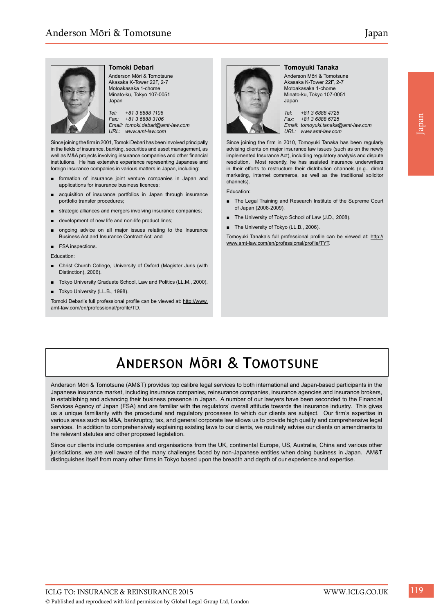

# **Tomoki Debari**

Anderson Mōri & Tomotsune Akasaka K-Tower 22F, 2-7 Motoakasaka 1-chome Minato-ku, Tokyo 107-0051 Japan

*Tel: +81 3 6888 1106 Fax: +81 3 6888 3106 Email: tomoki.debari@amt-law.com URL: www.amt-law.com*

Since joining the firm in 2001, Tomoki Debari has been involved principally in the fields of insurance, banking, securities and asset management, as well as M&A projects involving insurance companies and other financial institutions. He has extensive experience representing Japanese and foreign insurance companies in various matters in Japan, including:

- formation of insurance joint venture companies in Japan and applications for insurance business licences;
- acquisition of insurance portfolios in Japan through insurance portfolio transfer procedures;
- strategic alliances and mergers involving insurance companies;
- development of new life and non-life product lines;
- ongoing advice on all major issues relating to the Insurance Business Act and Insurance Contract Act; and
- FSA inspections.

Education:

- Christ Church College, University of Oxford (Magister Juris (with Distinction), 2006).
- Tokyo University Graduate School, Law and Politics (LL.M., 2000).
- Tokyo University (LL.B., 1998).

Tomoki Debari's full professional profile can be viewed at: http://www. amt-law.com/en/professional/profile/TD.



# **Tomoyuki Tanaka**

Anderson Mōri & Tomotsune Akasaka K-Tower 22F, 2-7 Motoakasaka 1-chome Minato-ku, Tokyo 107-0051 Japan

*Tel: +81 3 6888 4725 Fax: +81 3 6888 6725 Email: tomoyuki.tanaka@amt-law.com URL: www.amt-law.com* 

Since joining the firm in 2010, Tomoyuki Tanaka has been regularly advising clients on major insurance law issues (such as on the newly implemented Insurance Act), including regulatory analysis and dispute resolution. Most recently, he has assisted insurance underwriters in their efforts to restructure their distribution channels (e.g., direct marketing, internet commerce, as well as the traditional solicitor channels).

Education:

- The Legal Training and Research Institute of the Supreme Court of Japan (2008-2009).
- The University of Tokyo School of Law (J.D., 2008).
- The University of Tokyo (LL.B., 2006).

Tomoyuki Tanaka's full professional profile can be viewed at: http:// www.amt-law.com/en/professional/profile/TYT.

# **ANDERSON MORI & TOMOTSUNE**

Anderson Mōri & Tomotsune (AM&T) provides top calibre legal services to both international and Japan-based participants in the Japanese insurance market, including insurance companies, reinsurance companies, insurance agencies and insurance brokers, in establishing and advancing their business presence in Japan. A number of our lawyers have been seconded to the Financial Services Agency of Japan (FSA) and are familiar with the regulators' overall attitude towards the insurance industry. This gives us a unique familiarity with the procedural and regulatory processes to which our clients are subject. Our firm's expertise in various areas such as M&A, bankruptcy, tax, and general corporate law allows us to provide high quality and comprehensive legal services. In addition to comprehensively explaining existing laws to our clients, we routinely advise our clients on amendments to the relevant statutes and other proposed legislation.

Since our clients include companies and organisations from the UK, continental Europe, US, Australia, China and various other jurisdictions, we are well aware of the many challenges faced by non-Japanese entities when doing business in Japan. AM&T distinguishes itself from many other firms in Tokyo based upon the breadth and depth of our experience and expertise.